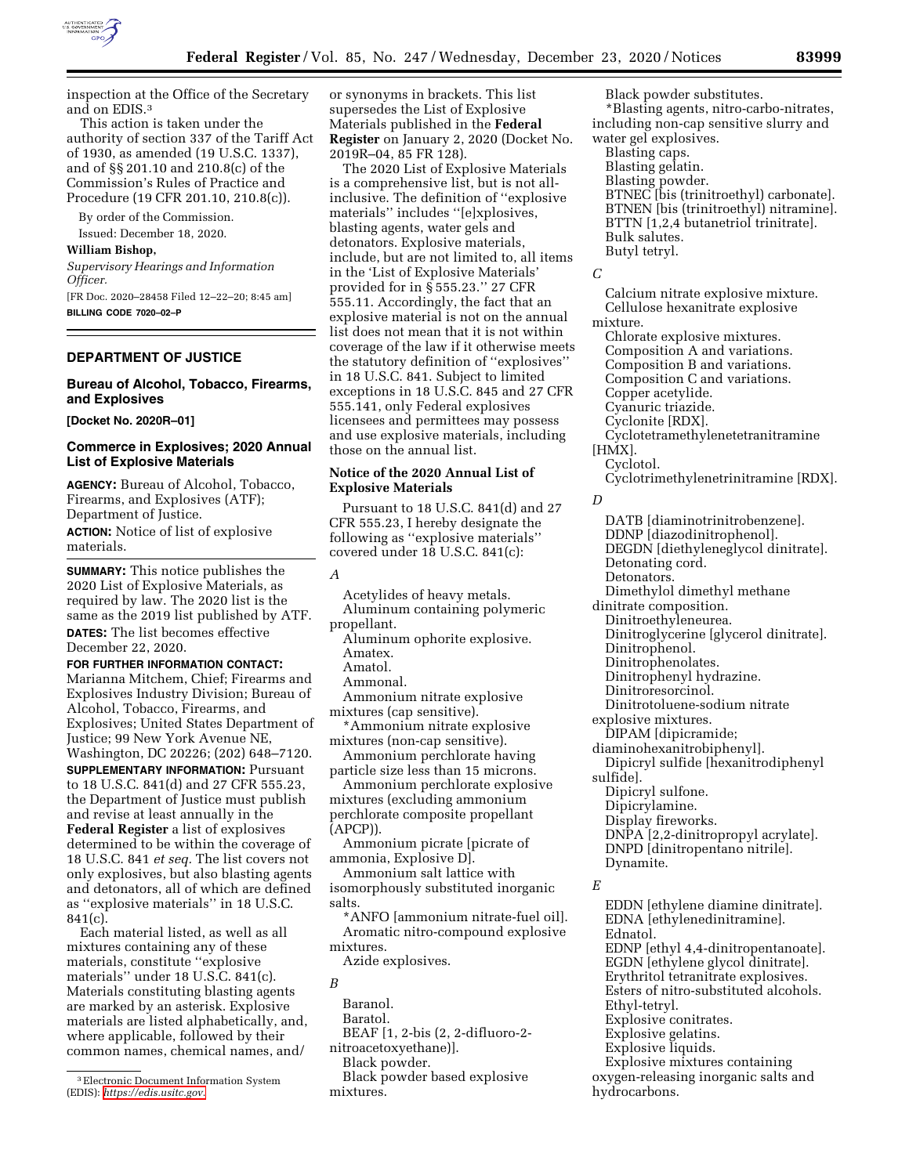

inspection at the Office of the Secretary and on EDIS.3

This action is taken under the authority of section 337 of the Tariff Act of 1930, as amended (19 U.S.C. 1337), and of §§ 201.10 and 210.8(c) of the Commission's Rules of Practice and Procedure (19 CFR 201.10, 210.8(c)).

By order of the Commission.

Issued: December 18, 2020.

## **William Bishop,**

*Supervisory Hearings and Information Officer.* 

[FR Doc. 2020–28458 Filed 12–22–20; 8:45 am] **BILLING CODE 7020–02–P** 

## **DEPARTMENT OF JUSTICE**

## **Bureau of Alcohol, Tobacco, Firearms, and Explosives**

**[Docket No. 2020R–01]** 

## **Commerce in Explosives; 2020 Annual List of Explosive Materials**

**AGENCY:** Bureau of Alcohol, Tobacco, Firearms, and Explosives (ATF); Department of Justice. **ACTION:** Notice of list of explosive materials.

**SUMMARY:** This notice publishes the 2020 List of Explosive Materials, as required by law. The 2020 list is the same as the 2019 list published by ATF. **DATES:** The list becomes effective December 22, 2020.

#### **FOR FURTHER INFORMATION CONTACT:**

Marianna Mitchem, Chief; Firearms and Explosives Industry Division; Bureau of Alcohol, Tobacco, Firearms, and Explosives; United States Department of Justice; 99 New York Avenue NE, Washington, DC 20226; (202) 648–7120. **SUPPLEMENTARY INFORMATION:** Pursuant to 18 U.S.C. 841(d) and 27 CFR 555.23, the Department of Justice must publish and revise at least annually in the **Federal Register** a list of explosives determined to be within the coverage of 18 U.S.C. 841 *et seq.* The list covers not only explosives, but also blasting agents and detonators, all of which are defined as ''explosive materials'' in 18 U.S.C. 841(c).

Each material listed, as well as all mixtures containing any of these materials, constitute ''explosive materials'' under 18 U.S.C. 841(c). Materials constituting blasting agents are marked by an asterisk. Explosive materials are listed alphabetically, and, where applicable, followed by their common names, chemical names, and/

or synonyms in brackets. This list supersedes the List of Explosive Materials published in the **Federal Register** on January 2, 2020 (Docket No. 2019R–04, 85 FR 128).

The 2020 List of Explosive Materials is a comprehensive list, but is not allinclusive. The definition of ''explosive materials'' includes ''[e]xplosives, blasting agents, water gels and detonators. Explosive materials, include, but are not limited to, all items in the 'List of Explosive Materials' provided for in § 555.23.'' 27 CFR 555.11. Accordingly, the fact that an explosive material is not on the annual list does not mean that it is not within coverage of the law if it otherwise meets the statutory definition of ''explosives'' in 18 U.S.C. 841. Subject to limited exceptions in 18 U.S.C. 845 and 27 CFR 555.141, only Federal explosives licensees and permittees may possess and use explosive materials, including those on the annual list.

### **Notice of the 2020 Annual List of Explosive Materials**

Pursuant to 18 U.S.C. 841(d) and 27 CFR 555.23, I hereby designate the following as ''explosive materials'' covered under 18 U.S.C. 841(c):

*A* 

Acetylides of heavy metals. Aluminum containing polymeric propellant. Aluminum ophorite explosive. Amatex.

Amatol.

Ammonal.

Ammonium nitrate explosive mixtures (cap sensitive).

\*Ammonium nitrate explosive mixtures (non-cap sensitive).

Ammonium perchlorate having particle size less than 15 microns.

Ammonium perchlorate explosive mixtures (excluding ammonium perchlorate composite propellant (APCP)).

Ammonium picrate [picrate of ammonia, Explosive D].

Ammonium salt lattice with isomorphously substituted inorganic salts.

\*ANFO [ammonium nitrate-fuel oil]. Aromatic nitro-compound explosive mixtures.

Azide explosives.

*B* 

Baranol.

Baratol.

BEAF [1, 2-bis (2, 2-difluoro-2-

nitroacetoxyethane)].

Black powder.

Black powder based explosive mixtures.

Black powder substitutes. \*Blasting agents, nitro-carbo-nitrates, including non-cap sensitive slurry and water gel explosives. Blasting caps. Blasting gelatin. Blasting powder.

BTNEC [bis (trinitroethyl) carbonate]. BTNEN [bis (trinitroethyl) nitramine]. BTTN [1,2,4 butanetriol trinitrate]. Bulk salutes. Butyl tetryl.

*C* 

Calcium nitrate explosive mixture. Cellulose hexanitrate explosive mixture.

Chlorate explosive mixtures. Composition A and variations.

Composition B and variations.

Composition C and variations.

Copper acetylide.

Cyanuric triazide.

Cyclonite [RDX].

Cyclotetramethylenetetranitramine

[HMX].

Cyclotol. Cyclotrimethylenetrinitramine [RDX].

*D* 

DATB [diaminotrinitrobenzene]. DDNP [diazodinitrophenol]. DEGDN [diethyleneglycol dinitrate]. Detonating cord. **Detonators** Dimethylol dimethyl methane dinitrate composition. Dinitroethyleneurea. Dinitroglycerine [glycerol dinitrate]. Dinitrophenol. Dinitrophenolates. Dinitrophenyl hydrazine. Dinitroresorcinol. Dinitrotoluene-sodium nitrate explosive mixtures. DIPAM [dipicramide; diaminohexanitrobiphenyl]. Dipicryl sulfide [hexanitrodiphenyl sulfide]. Dipicryl sulfone. Dipicrylamine. Display fireworks. DNPA [2,2-dinitropropyl acrylate]. DNPD [dinitropentano nitrile]. Dynamite.

*E* 

EDDN [ethylene diamine dinitrate]. EDNA [ethylenedinitramine]. Ednatol. EDNP [ethyl 4,4-dinitropentanoate]. EGDN [ethylene glycol dinitrate]. Erythritol tetranitrate explosives. Esters of nitro-substituted alcohols. Ethyl-tetryl. Explosive conitrates. Explosive gelatins. Explosive liquids. Explosive mixtures containing oxygen-releasing inorganic salts and hydrocarbons.

<sup>3</sup>Electronic Document Information System (EDIS): *<https://edis.usitc.gov>*.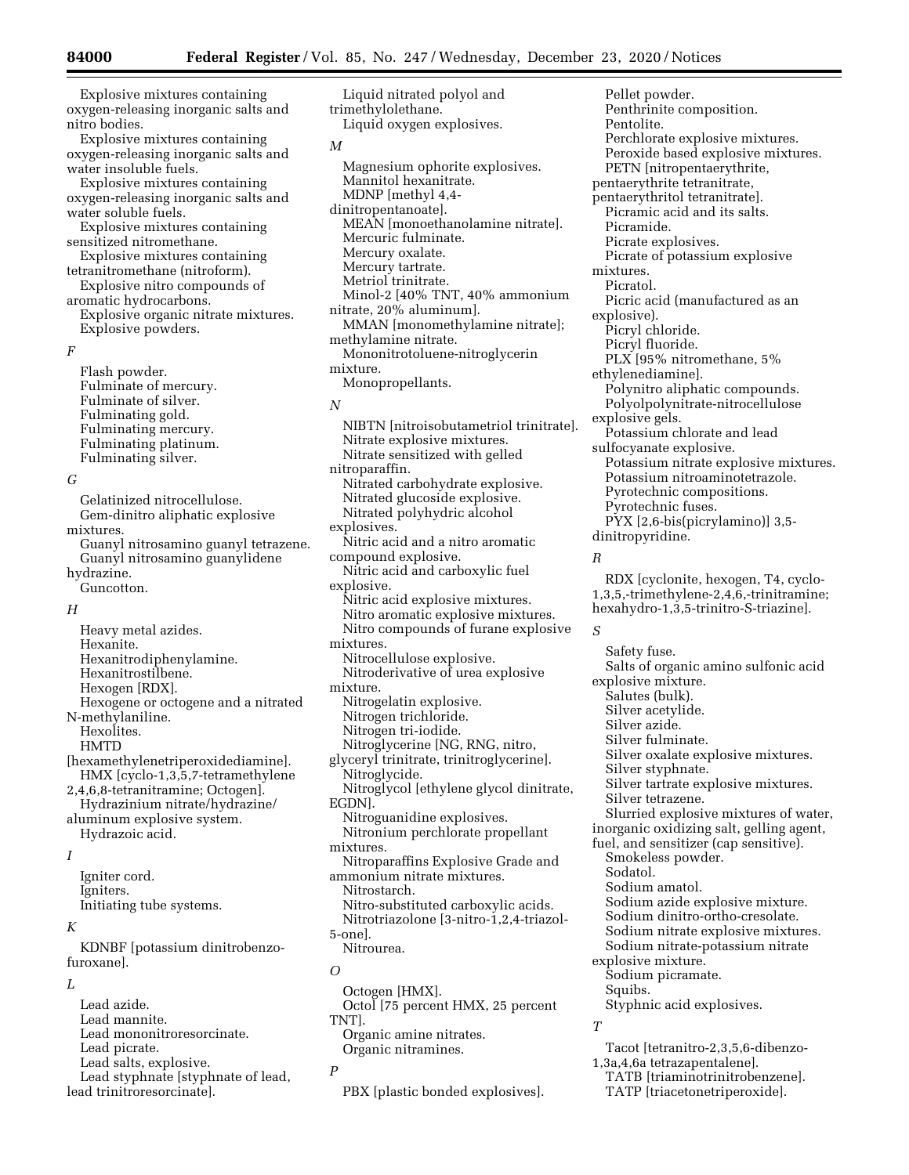Explosive mixtures containing oxygen-releasing inorganic salts and nitro bodies.

Explosive mixtures containing oxygen-releasing inorganic salts and water insoluble fuels.

Explosive mixtures containing oxygen-releasing inorganic salts and water soluble fuels.

Explosive mixtures containing sensitized nitromethane.

Explosive mixtures containing tetranitromethane (nitroform).

Explosive nitro compounds of aromatic hydrocarbons.

Explosive organic nitrate mixtures. Explosive powders.

#### *F*

Flash powder. Fulminate of mercury. Fulminate of silver. Fulminating gold. Fulminating mercury. Fulminating platinum. Fulminating silver.

#### *G*

Gelatinized nitrocellulose. Gem-dinitro aliphatic explosive mixtures. Guanyl nitrosamino guanyl tetrazene. Guanyl nitrosamino guanylidene hydrazine.

Guncotton.

# *H*

Heavy metal azides. Hexanite. Hexanitrodiphenylamine. Hexanitrostilbene. Hexogen [RDX]. Hexogene or octogene and a nitrated N-methylaniline. Hexolites. HMTD [hexamethylenetriperoxidediamine]. HMX [cyclo-1,3,5,7-tetramethylene 2,4,6,8-tetranitramine; Octogen]. Hydrazinium nitrate/hydrazine/

aluminum explosive system. Hydrazoic acid.

#### *I*

Igniter cord. Igniters. Initiating tube systems.

#### *K*

KDNBF [potassium dinitrobenzofuroxane].

#### *L*

Lead azide. Lead mannite. Lead mononitroresorcinate. Lead picrate. Lead salts, explosive. Lead styphnate [styphnate of lead, lead trinitroresorcinate].

Liquid nitrated polyol and trimethylolethane. Liquid oxygen explosives. *M*  Magnesium ophorite explosives. Mannitol hexanitrate. MDNP [methyl 4,4 dinitropentanoate]. MEAN [monoethanolamine nitrate]. Mercuric fulminate. Mercury oxalate. Mercury tartrate. Metriol trinitrate. Minol-2 [40% TNT, 40% ammonium nitrate, 20% aluminum]. MMAN [monomethylamine nitrate]; methylamine nitrate. Mononitrotoluene-nitroglycerin mixture. Monopropellants. *N*  NIBTN [nitroisobutametriol trinitrate]. Nitrate explosive mixtures. Nitrate sensitized with gelled nitroparaffin.

Nitrated carbohydrate explosive. Nitrated glucoside explosive. Nitrated polyhydric alcohol explosives. Nitric acid and a nitro aromatic compound explosive. Nitric acid and carboxylic fuel explosive. Nitric acid explosive mixtures. Nitro aromatic explosive mixtures. Nitro compounds of furane explosive mixtures. Nitrocellulose explosive. Nitroderivative of urea explosive mixture. Nitrogelatin explosive. Nitrogen trichloride. Nitrogen tri-iodide. Nitroglycerine [NG, RNG, nitro, glyceryl trinitrate, trinitroglycerine]. Nitroglycide. Nitroglycol [ethylene glycol dinitrate, EGDN]. Nitroguanidine explosives. Nitronium perchlorate propellant mixtures. Nitroparaffins Explosive Grade and ammonium nitrate mixtures. Nitrostarch. Nitro-substituted carboxylic acids. Nitrotriazolone [3-nitro-1,2,4-triazol-5-one]. Nitrourea. *O* 

Octogen [HMX]. Octol [75 percent HMX, 25 percent TNT]. Organic amine nitrates. Organic nitramines.

PBX [plastic bonded explosives].

Pellet powder. Penthrinite composition. Pentolite. Perchlorate explosive mixtures. Peroxide based explosive mixtures. PETN [nitropentaerythrite, pentaerythrite tetranitrate, pentaerythritol tetranitrate]. Picramic acid and its salts. Picramide. Picrate explosives. Picrate of potassium explosive mixtures. Picratol. Picric acid (manufactured as an explosive). Picryl chloride. Picryl fluoride. PLX [95% nitromethane, 5% ethylenediamine]. Polynitro aliphatic compounds. Polyolpolynitrate-nitrocellulose explosive gels. Potassium chlorate and lead sulfocyanate explosive. Potassium nitrate explosive mixtures. Potassium nitroaminotetrazole. Pyrotechnic compositions. Pyrotechnic fuses. PYX [2,6-bis(picrylamino)] 3,5 dinitropyridine. *R*  RDX [cyclonite, hexogen, T4, cyclo-1,3,5,-trimethylene-2,4,6,-trinitramine; hexahydro-1,3,5-trinitro-S-triazine]. *S*  Safety fuse. Salts of organic amino sulfonic acid explosive mixture. Salutes (bulk). Silver acetylide. Silver azide. Silver fulminate. Silver oxalate explosive mixtures. Silver styphnate. Silver tartrate explosive mixtures. Silver tetrazene. Slurried explosive mixtures of water,

inorganic oxidizing salt, gelling agent, fuel, and sensitizer (cap sensitive).

Smokeless powder.

Sodatol.

Sodium amatol.

Sodium azide explosive mixture.

Sodium dinitro-ortho-cresolate.

Sodium nitrate explosive mixtures. Sodium nitrate-potassium nitrate

explosive mixture.

Sodium picramate.

- Squibs.
	- Styphnic acid explosives.

*T* 

Tacot [tetranitro-2,3,5,6-dibenzo-1,3a,4,6a tetrazapentalene]. TATB [triaminotrinitrobenzene]. TATP [triacetonetriperoxide].

*P*